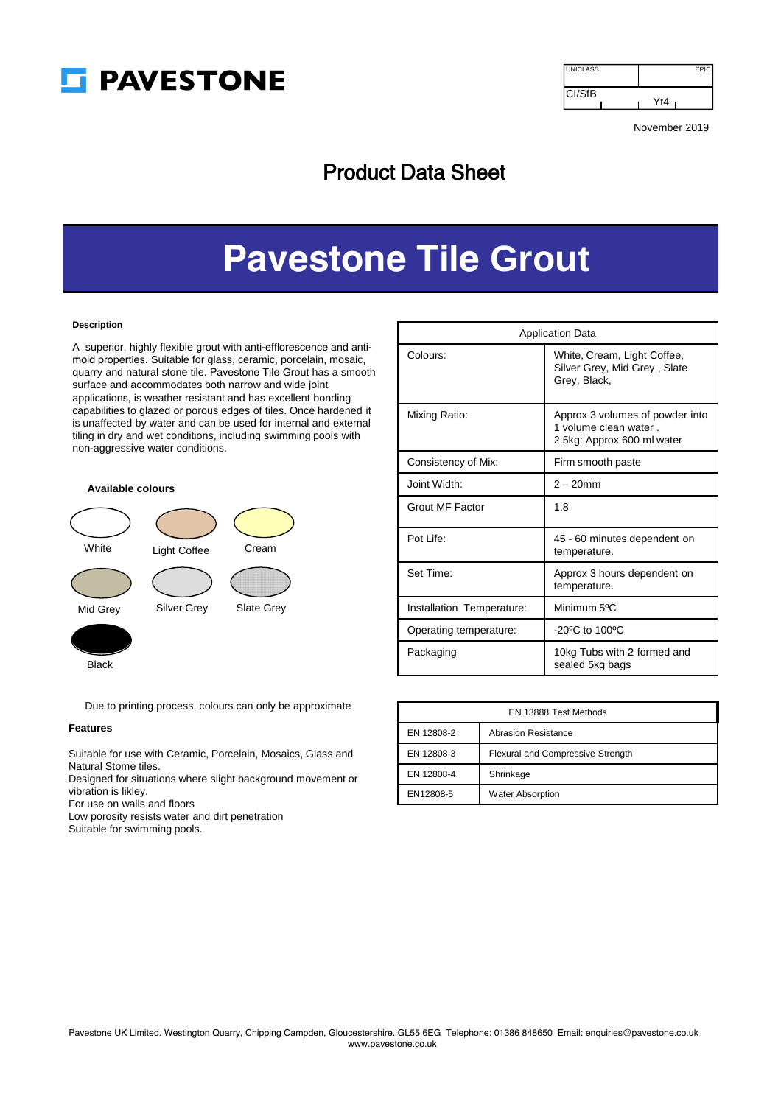

| <b>UNICLASS</b> | <b>EPIC</b> |
|-----------------|-------------|
| <b>CI/SfB</b>   | Yt4         |

November 2019

# Product Data Sheet

# **Pavestone Tile Grout**

# **Description**

A superior, highly flexible grout with anti-efflorescence and antimold properties. Suitable for glass, ceramic, porcelain, mosaic, quarry and natural stone tile. Pavestone Tile Grout has a smooth surface and accommodates both narrow and wide joint applications, is weather resistant and has excellent bonding capabilities to glazed or porous edges of tiles. Once hardened it is unaffected by water and can be used for internal and external tiling in dry and wet conditions, including swimming pools with non-aggressive water conditions.





|--|--|

Due to printing process, colours can only be approximate

## **Features**

Suitable for use with Ceramic, Porcelain, Mosaics, Glass and Natural Stome tiles.

Designed for situations where slight background movement or vibration is likley.

For use on walls and floors

Low porosity resists water and dirt penetration

Suitable for swimming pools.

| <b>Application Data</b>   |                                                                                        |  |
|---------------------------|----------------------------------------------------------------------------------------|--|
| Colours:                  | White, Cream, Light Coffee,<br>Silver Grey, Mid Grey, Slate<br>Grey, Black,            |  |
| Mixing Ratio:             | Approx 3 volumes of powder into<br>1 volume clean water.<br>2.5kg: Approx 600 ml water |  |
| Consistency of Mix:       | Firm smooth paste                                                                      |  |
| Joint Width:              | $2 - 20$ mm                                                                            |  |
| Grout MF Factor           | 1.8                                                                                    |  |
| Pot Life:                 | 45 - 60 minutes dependent on<br>temperature.                                           |  |
| Set Time:                 | Approx 3 hours dependent on<br>temperature.                                            |  |
| Installation Temperature: | Minimum 5°C                                                                            |  |
| Operating temperature:    | $-20^{\circ}$ C to 100 $^{\circ}$ C                                                    |  |
| Packaging                 | 10kg Tubs with 2 formed and<br>sealed 5kg bags                                         |  |

| EN 13888 Test Methods |                                   |  |
|-----------------------|-----------------------------------|--|
| EN 12808-2            | Abrasion Resistance               |  |
| EN 12808-3            | Flexural and Compressive Strength |  |
| EN 12808-4            | Shrinkage                         |  |
| EN12808-5             | <b>Water Absorption</b>           |  |